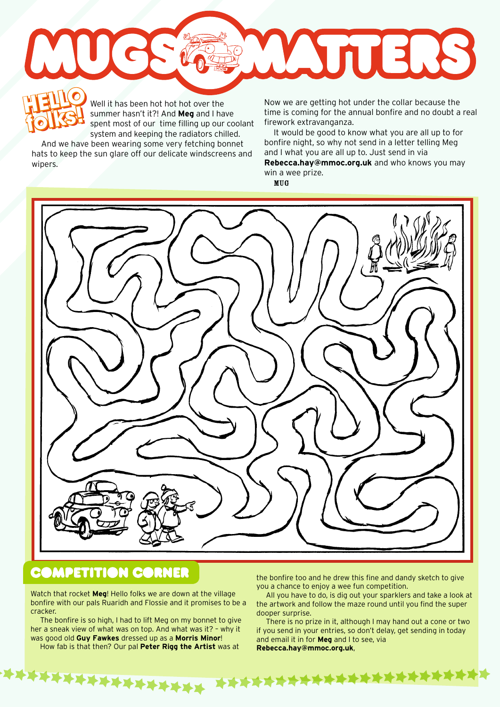ATTERS **HELLO HELLO w** 

Well it has been hot hot hot over the summer hasn't it?! And **Meg** and I have spent most of our time filling up our coolant system and keeping the radiators chilled.

And we have been wearing some very fetching bonnet hats to keep the sun glare off our delicate windscreens and wipers.

**folks!**

Well it has been hot hot over the Now we are getting hot under the collar because the<br>summer hasn't it?! And **Meg** and I have time is coming for the annual bonfire and no doubt a<br>spent most of our time filling up our coola time is coming for the annual bonfire and no doubt a real firework extravanganza.

It would be good to know what you are all up to for bonfire night, so why not send in a letter telling Meg and I what you are all up to. Just send in via **Rebecca.hay@mmoc.org.uk** and who knows you may win a wee prize.

MUG



**TERRETA** 

## **COMPETITION CORNER**

Watch that rocket **Meg**! Hello folks we are down at the village bonfire with our pals Ruaridh and Flossie and it promises to be a cracker.

The bonfire is so high, I had to lift Meg on my bonnet to give her a sneak view of what was on top. And what was it? – why it was good old **Guy Fawkes** dressed up as a **Morris Minor**! How fab is that then? Our pal **Peter Rigg the Artist** was at

**\*\*\*\*\*\*\*\*\*\*\*\*\*** 

the bonfire too and he drew this fine and dandy sketch to give you a chance to enjoy a wee fun competition.

All you have to do, is dig out your sparklers and take a look at the artwork and follow the maze round until you find the super dooper surprise.

There is no prize in it, although I may hand out a cone or two if you send in your entries, so don't delay, get sending in today and email it in for **Meg** and I to see, via **Rebecca.hay@mmoc.org.uk**,

**XXXXXX**